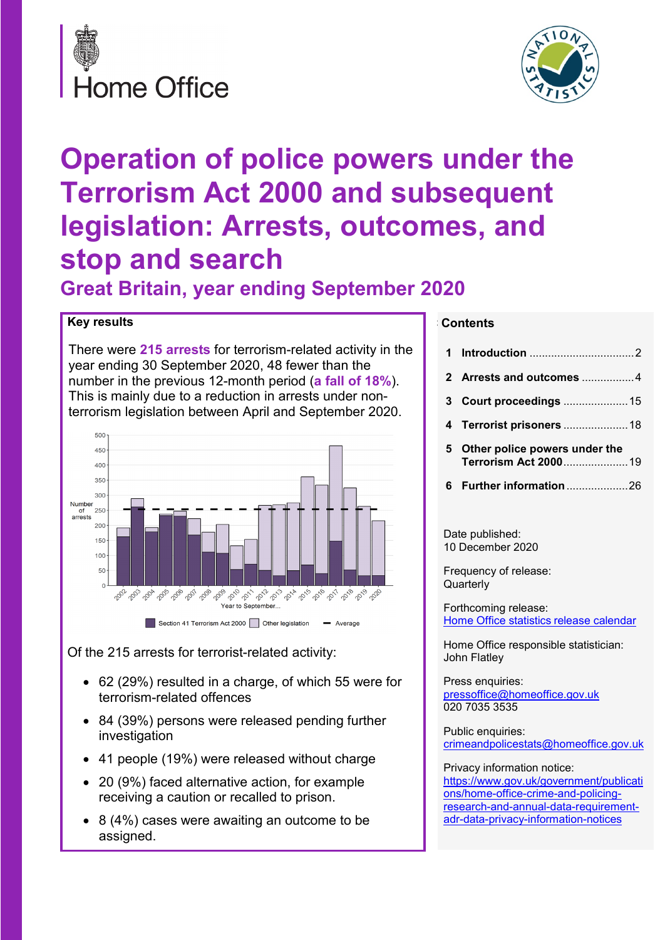



# **Operation of police powers under the Terrorism Act 2000 and subsequent legislation: Arrests, outcomes, and stop and search**

**Great Britain, year ending September 2020**

#### **Key results**

There were **215 arrests** for terrorism-related activity in the year ending 30 September 2020, 48 fewer than the number in the previous 12-month period (**a fall of 18%**). This is mainly due to a reduction in arrests under nonterrorism legislation between April and September 2020.



Of the 215 arrests for terrorist-related activity:

- 62 (29%) resulted in a charge, of which 55 were for terrorism-related offences
- 84 (39%) persons were released pending further investigation
- 41 people (19%) were released without charge
- 20 (9%) faced alternative action, for example receiving a caution or recalled to prison.
- 8 (4%) cases were awaiting an outcome to be assigned.

#### **C Contents**

| 3  | <b>Court proceedings  15</b>                          |
|----|-------------------------------------------------------|
|    |                                                       |
|    |                                                       |
| 5. | Other police powers under the<br>Terrorism Act 200019 |
|    |                                                       |
|    |                                                       |

10 December 2020

Frequency of release: **Quarterly** 

Forthcoming release: [Home Office statistics](https://www.gov.uk/government/statistics/announcements?utf8=%E2%9C%93&keywords=fire&organisations%5B%5D=home-office) release calendar

Home Office responsible statistician: John Flatley

Press enquiries: [pressoffice@homeoffice.gov.uk](mailto:pressPublication%20informationk) 020 7035 3535

Public enquiries: [crimeandpolicestats@homeoffice.gov.uk](mailto:crimeandpolicestats@homeoffice.gov.uk)

Privacy information notice: [https://www.gov.uk/government/publicati](https://eur01.safelinks.protection.outlook.com/?url=https%3A%2F%2Fwww.gov.uk%2Fgovernment%2Fpublications%2Fhome-office-crime-and-policing-research-and-annual-data-requirement-adr-data-privacy-information-notices&data=02%7C01%7CRosanna.Currenti%40homeoffice.gov.uk%7C2265930fc0be4e66d98908d8701d28e3%7Cf24d93ecb2914192a08af182245945c2%7C0%7C0%7C637382617819568873&sdata=Uuu%2Fr525LdztaUIRpby%2FYC%2B%2FIZE1m83x2TyZjqXeHwI%3D&reserved=0) [ons/home-office-crime-and-policing](https://eur01.safelinks.protection.outlook.com/?url=https%3A%2F%2Fwww.gov.uk%2Fgovernment%2Fpublications%2Fhome-office-crime-and-policing-research-and-annual-data-requirement-adr-data-privacy-information-notices&data=02%7C01%7CRosanna.Currenti%40homeoffice.gov.uk%7C2265930fc0be4e66d98908d8701d28e3%7Cf24d93ecb2914192a08af182245945c2%7C0%7C0%7C637382617819568873&sdata=Uuu%2Fr525LdztaUIRpby%2FYC%2B%2FIZE1m83x2TyZjqXeHwI%3D&reserved=0)[research-and-annual-data-requirement](https://eur01.safelinks.protection.outlook.com/?url=https%3A%2F%2Fwww.gov.uk%2Fgovernment%2Fpublications%2Fhome-office-crime-and-policing-research-and-annual-data-requirement-adr-data-privacy-information-notices&data=02%7C01%7CRosanna.Currenti%40homeoffice.gov.uk%7C2265930fc0be4e66d98908d8701d28e3%7Cf24d93ecb2914192a08af182245945c2%7C0%7C0%7C637382617819568873&sdata=Uuu%2Fr525LdztaUIRpby%2FYC%2B%2FIZE1m83x2TyZjqXeHwI%3D&reserved=0)[adr-data-privacy-information-notices](https://eur01.safelinks.protection.outlook.com/?url=https%3A%2F%2Fwww.gov.uk%2Fgovernment%2Fpublications%2Fhome-office-crime-and-policing-research-and-annual-data-requirement-adr-data-privacy-information-notices&data=02%7C01%7CRosanna.Currenti%40homeoffice.gov.uk%7C2265930fc0be4e66d98908d8701d28e3%7Cf24d93ecb2914192a08af182245945c2%7C0%7C0%7C637382617819568873&sdata=Uuu%2Fr525LdztaUIRpby%2FYC%2B%2FIZE1m83x2TyZjqXeHwI%3D&reserved=0)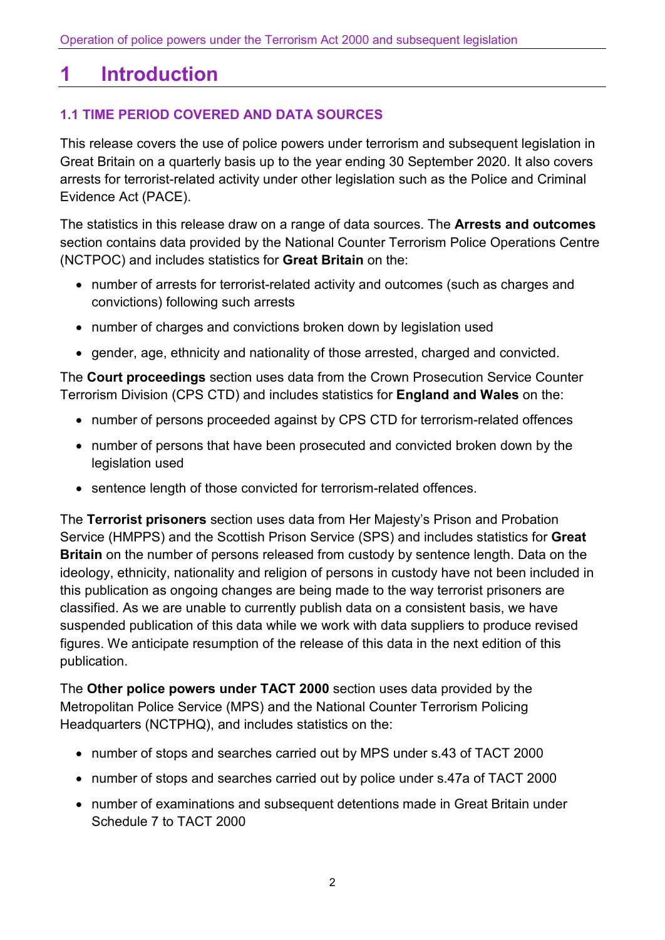## <span id="page-1-0"></span>**1 Introduction**

## **1.1 TIME PERIOD COVERED AND DATA SOURCES**

This release covers the use of police powers under terrorism and subsequent legislation in Great Britain on a quarterly basis up to the year ending 30 September 2020. It also covers arrests for terrorist-related activity under other legislation such as the Police and Criminal Evidence Act (PACE).

The statistics in this release draw on a range of data sources. The **Arrests and outcomes** section contains data provided by the National Counter Terrorism Police Operations Centre (NCTPOC) and includes statistics for **Great Britain** on the:

- number of arrests for terrorist-related activity and outcomes (such as charges and convictions) following such arrests
- number of charges and convictions broken down by legislation used
- gender, age, ethnicity and nationality of those arrested, charged and convicted.

The **Court proceedings** section uses data from the Crown Prosecution Service Counter Terrorism Division (CPS CTD) and includes statistics for **England and Wales** on the:

- number of persons proceeded against by CPS CTD for terrorism-related offences
- number of persons that have been prosecuted and convicted broken down by the legislation used
- sentence length of those convicted for terrorism-related offences.

The **Terrorist prisoners** section uses data from Her Majesty's Prison and Probation Service (HMPPS) and the Scottish Prison Service (SPS) and includes statistics for **Great Britain** on the number of persons released from custody by sentence length. Data on the ideology, ethnicity, nationality and religion of persons in custody have not been included in this publication as ongoing changes are being made to the way terrorist prisoners are classified. As we are unable to currently publish data on a consistent basis, we have suspended publication of this data while we work with data suppliers to produce revised figures. We anticipate resumption of the release of this data in the next edition of this publication.

The **Other police powers under TACT 2000** section uses data provided by the Metropolitan Police Service (MPS) and the National Counter Terrorism Policing Headquarters (NCTPHQ), and includes statistics on the:

- number of stops and searches carried out by MPS under s.43 of TACT 2000
- number of stops and searches carried out by police under s.47a of TACT 2000
- number of examinations and subsequent detentions made in Great Britain under Schedule 7 to TACT 2000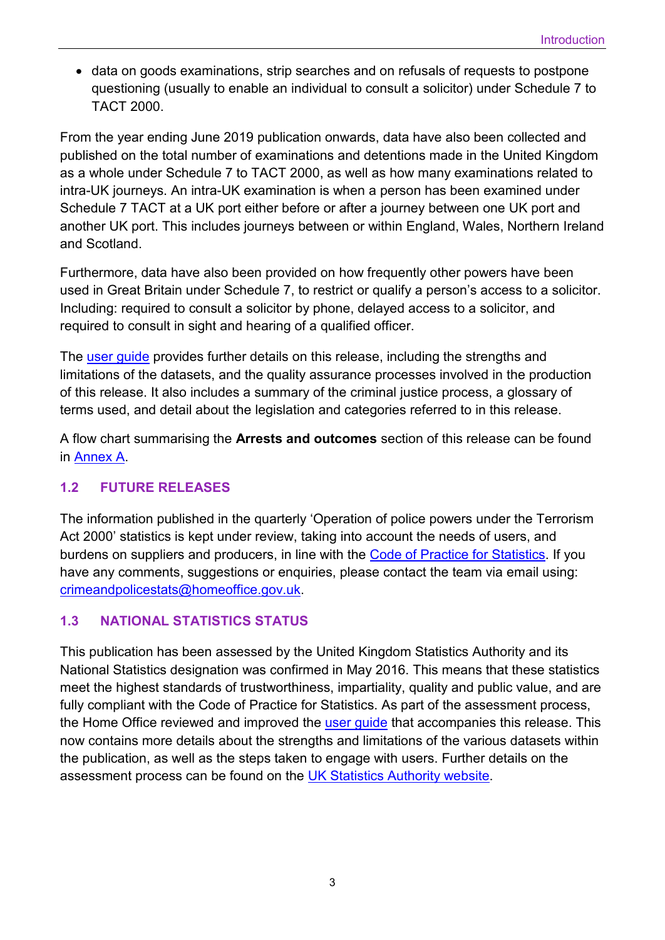• data on goods examinations, strip searches and on refusals of requests to postpone questioning (usually to enable an individual to consult a solicitor) under Schedule 7 to TACT 2000.

From the year ending June 2019 publication onwards, data have also been collected and published on the total number of examinations and detentions made in the United Kingdom as a whole under Schedule 7 to TACT 2000, as well as how many examinations related to intra-UK journeys. An intra-UK examination is when a person has been examined under Schedule 7 TACT at a UK port either before or after a journey between one UK port and another UK port. This includes journeys between or within England, Wales, Northern Ireland and Scotland.

Furthermore, data have also been provided on how frequently other powers have been used in Great Britain under Schedule 7, to restrict or qualify a person's access to a solicitor. Including: required to consult a solicitor by phone, delayed access to a solicitor, and required to consult in sight and hearing of a qualified officer.

The [user guide](https://www.gov.uk/government/publications/user-guide-to-operation-of-police-powers-under-the-terrorism-act-2000-and-subsequent-legislation) provides further details on this release, including the strengths and limitations of the datasets, and the quality assurance processes involved in the production of this release. It also includes a summary of the criminal justice process, a glossary of terms used, and detail about the legislation and categories referred to in this release.

A flow chart summarising the **Arrests and outcomes** section of this release can be found in [Annex A.](https://assets.publishing.service.gov.uk/government/uploads/system/uploads/attachment_data/file/941994/annex-a-flow-chart-sep2020.pdf)

#### **1.2 FUTURE RELEASES**

The information published in the quarterly 'Operation of police powers under the Terrorism Act 2000' statistics is kept under review, taking into account the needs of users, and burdens on suppliers and producers, in line with the [Code of Practice for Statistics.](https://code.statisticsauthority.gov.uk/) If you have any comments, suggestions or enquiries, please contact the team via email using: [crimeandpolicestats@homeoffice.gov.uk.](mailto:crimeandpolicestats@homeoffice.gov.uk)

## **1.3 NATIONAL STATISTICS STATUS**

This publication has been assessed by the United Kingdom Statistics Authority and its National Statistics designation was confirmed in May 2016. This means that these statistics meet the highest standards of trustworthiness, impartiality, quality and public value, and are fully compliant with the Code of Practice for Statistics. As part of the assessment process, the Home Office reviewed and improved the user quide that accompanies this release. This now contains more details about the strengths and limitations of the various datasets within the publication, as well as the steps taken to engage with users. Further details on the assessment process can be found on the [UK Statistics Authority website.](https://www.statisticsauthority.gov.uk/publication/statistics-on-the-operation-of-police-powers-under-the-terrorism-act-2000-and-subsequent-legislation/)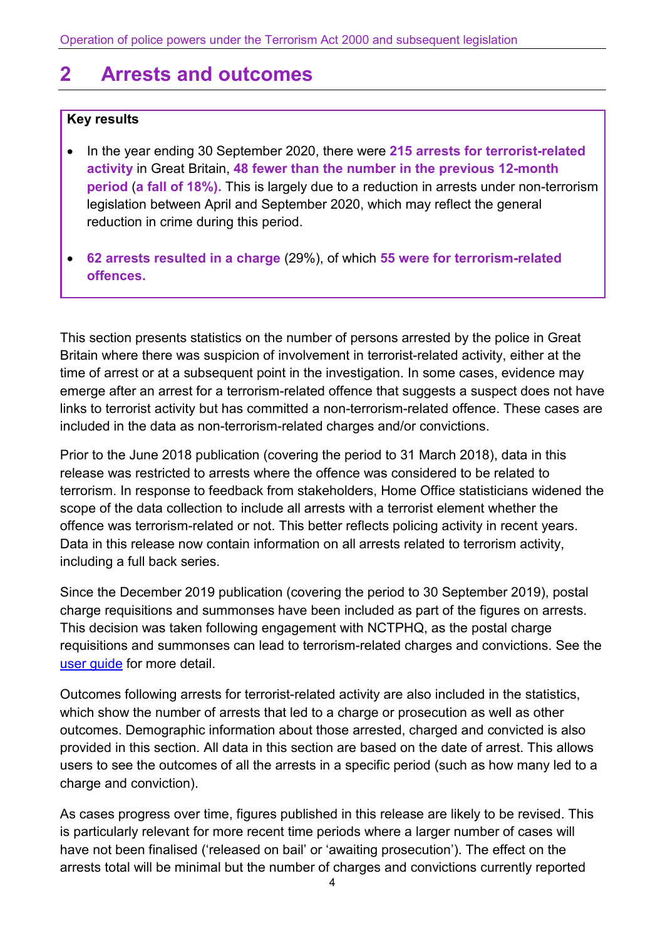## <span id="page-3-0"></span>**2 Arrests and outcomes**

#### **Key results**

- In the year ending 30 September 2020, there were **215 arrests for terrorist-related activity** in Great Britain, **48 fewer than the number in the previous 12-month period** (**a fall of 18%).** This is largely due to a reduction in arrests under non-terrorism legislation between April and September 2020, which may reflect the general reduction in crime during this period.
- **62 arrests resulted in a charge** (29%), of which **55 were for terrorism-related offences.**

This section presents statistics on the number of persons arrested by the police in Great Britain where there was suspicion of involvement in terrorist-related activity, either at the time of arrest or at a subsequent point in the investigation. In some cases, evidence may emerge after an arrest for a terrorism-related offence that suggests a suspect does not have links to terrorist activity but has committed a non-terrorism-related offence. These cases are included in the data as non-terrorism-related charges and/or convictions.

Prior to the June 2018 publication (covering the period to 31 March 2018), data in this release was restricted to arrests where the offence was considered to be related to terrorism. In response to feedback from stakeholders, Home Office statisticians widened the scope of the data collection to include all arrests with a terrorist element whether the offence was terrorism-related or not. This better reflects policing activity in recent years. Data in this release now contain information on all arrests related to terrorism activity, including a full back series.

Since the December 2019 publication (covering the period to 30 September 2019), postal charge requisitions and summonses have been included as part of the figures on arrests. This decision was taken following engagement with NCTPHQ, as the postal charge requisitions and summonses can lead to terrorism-related charges and convictions. See the [user guide](https://www.gov.uk/government/publications/user-guide-to-operation-of-police-powers-under-the-terrorism-act-2000-and-subsequent-legislation) for more detail.

Outcomes following arrests for terrorist-related activity are also included in the statistics, which show the number of arrests that led to a charge or prosecution as well as other outcomes. Demographic information about those arrested, charged and convicted is also provided in this section. All data in this section are based on the date of arrest. This allows users to see the outcomes of all the arrests in a specific period (such as how many led to a charge and conviction).

As cases progress over time, figures published in this release are likely to be revised. This is particularly relevant for more recent time periods where a larger number of cases will have not been finalised ('released on bail' or 'awaiting prosecution'). The effect on the arrests total will be minimal but the number of charges and convictions currently reported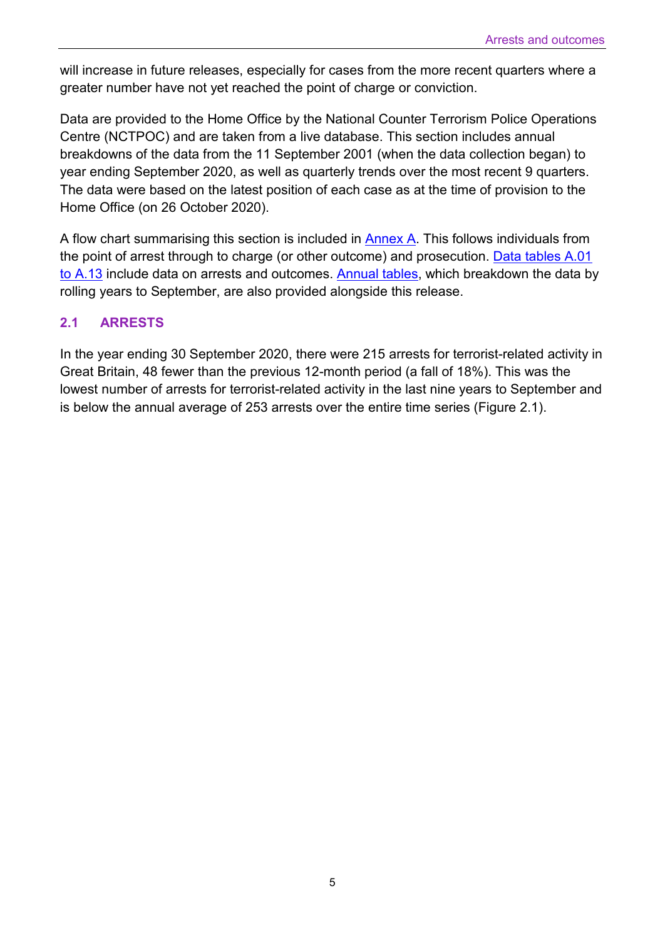will increase in future releases, especially for cases from the more recent quarters where a greater number have not yet reached the point of charge or conviction.

Data are provided to the Home Office by the National Counter Terrorism Police Operations Centre (NCTPOC) and are taken from a live database. This section includes annual breakdowns of the data from the 11 September 2001 (when the data collection began) to year ending September 2020, as well as quarterly trends over the most recent 9 quarters. The data were based on the latest position of each case as at the time of provision to the Home Office (on 26 October 2020).

A flow chart summarising this section is included in [Annex A.](https://assets.publishing.service.gov.uk/government/uploads/system/uploads/attachment_data/file/941994/annex-a-flow-chart-sep2020.pdf) This follows individuals from the point of arrest through to charge (or other outcome) and prosecution. [Data tables A.01](https://assets.publishing.service.gov.uk/government/uploads/system/uploads/attachment_data/file/941943/operation-police-powers-terrorism-sep2020-annual-tables.xlsx)  [to A.13](https://assets.publishing.service.gov.uk/government/uploads/system/uploads/attachment_data/file/941943/operation-police-powers-terrorism-sep2020-annual-tables.xlsx) include data on arrests and outcomes. [Annual tables,](https://assets.publishing.service.gov.uk/government/uploads/system/uploads/attachment_data/file/941943/operation-police-powers-terrorism-sep2020-annual-tables.xlsx) which breakdown the data by rolling years to September, are also provided alongside this release.

#### **2.1 ARRESTS**

In the year ending 30 September 2020, there were 215 arrests for terrorist-related activity in Great Britain, 48 fewer than the previous 12-month period (a fall of 18%). This was the lowest number of arrests for terrorist-related activity in the last nine years to September and is below the annual average of 253 arrests over the entire time series (Figure 2.1).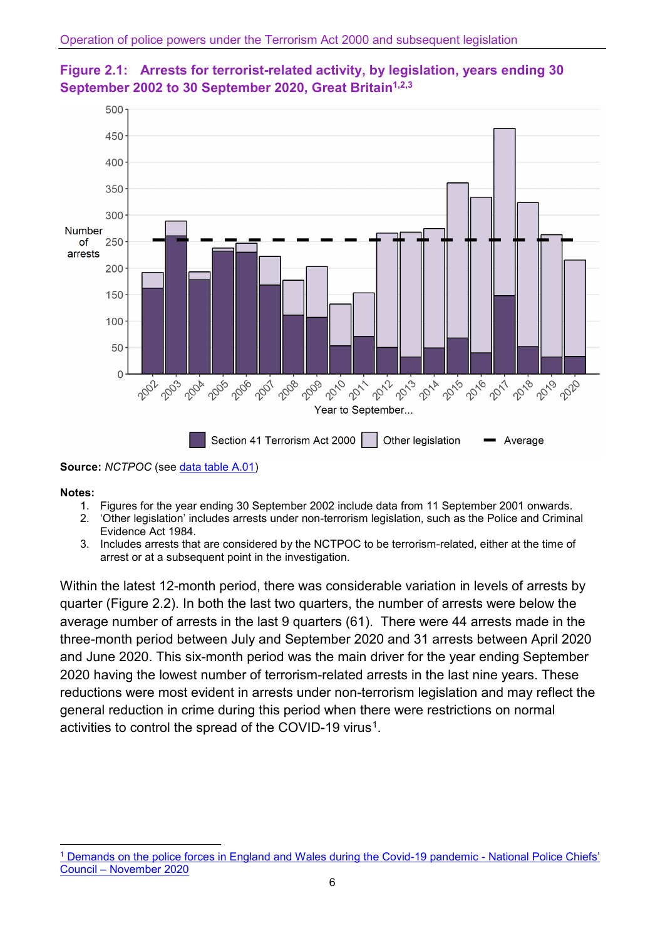



**Notes:**

- 1. Figures for the year ending 30 September 2002 include data from 11 September 2001 onwards.
- 2. 'Other legislation' includes arrests under non-terrorism legislation, such as the Police and Criminal Evidence Act 1984.
- 3. Includes arrests that are considered by the NCTPOC to be terrorism-related, either at the time of arrest or at a subsequent point in the investigation.

Within the latest 12-month period, there was considerable variation in levels of arrests by quarter (Figure 2.2). In both the last two quarters, the number of arrests were below the average number of arrests in the last 9 quarters (61). There were 44 arrests made in the three-month period between July and September 2020 and 31 arrests between April 2020 and June 2020. This six-month period was the main driver for the year ending September 2020 having the lowest number of terrorism-related arrests in the last nine years. These reductions were most evident in arrests under non-terrorism legislation and may reflect the general reduction in crime during this period when there were restrictions on normal activities to control the spread of the COVID-[1](#page-5-0)9 virus<sup>1</sup>.

**Source:** *NCTPOC* (see [data table A.01\)](https://assets.publishing.service.gov.uk/government/uploads/system/uploads/attachment_data/file/941943/operation-police-powers-terrorism-sep2020-annual-tables.xlsx)

<span id="page-5-0"></span> $\overline{\phantom{a}}$ <sup>1</sup> [Demands on the police forces in England and Wales during the Covid-19 pandemic - National Police Chiefs'](https://cdn.prgloo.com/media/337f2829210743b5a9886b8b1e90f8b5.pdf)  [Council – November 2020](https://cdn.prgloo.com/media/337f2829210743b5a9886b8b1e90f8b5.pdf)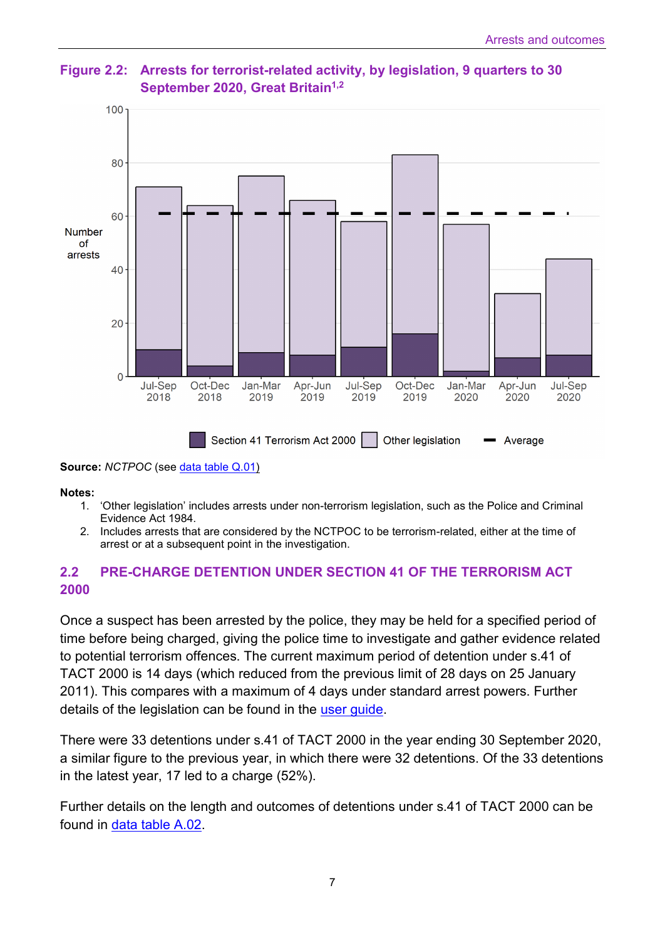

**Figure 2.2: Arrests for terrorist-related activity, by legislation, 9 quarters to 30 September 2020, Great Britain<sup>1,2</sup>** 

**Source:** *NCTPOC* (see [data table Q.01\)](https://assets.publishing.service.gov.uk/government/uploads/system/uploads/attachment_data/file/941945/operation-police-powers-terrorism-sep2020-quarterly-tables.xlsx)

**Notes:**

- 1. 'Other legislation' includes arrests under non-terrorism legislation, such as the Police and Criminal Evidence Act 1984.
- 2. Includes arrests that are considered by the NCTPOC to be terrorism-related, either at the time of arrest or at a subsequent point in the investigation.

### **2.2 PRE-CHARGE DETENTION UNDER SECTION 41 OF THE TERRORISM ACT 2000**

Once a suspect has been arrested by the police, they may be held for a specified period of time before being charged, giving the police time to investigate and gather evidence related to potential terrorism offences. The current maximum period of detention under s.41 of TACT 2000 is 14 days (which reduced from the previous limit of 28 days on 25 January 2011). This compares with a maximum of 4 days under standard arrest powers. Further details of the legislation can be found in the [user guide.](https://www.gov.uk/government/publications/user-guide-to-operation-of-police-powers-under-the-terrorism-act-2000-and-subsequent-legislation)

There were 33 detentions under s.41 of TACT 2000 in the year ending 30 September 2020, a similar figure to the previous year, in which there were 32 detentions. Of the 33 detentions in the latest year, 17 led to a charge (52%).

Further details on the length and outcomes of detentions under s.41 of TACT 2000 can be found in [data table A.02.](https://assets.publishing.service.gov.uk/government/uploads/system/uploads/attachment_data/file/941943/operation-police-powers-terrorism-sep2020-annual-tables.xlsx)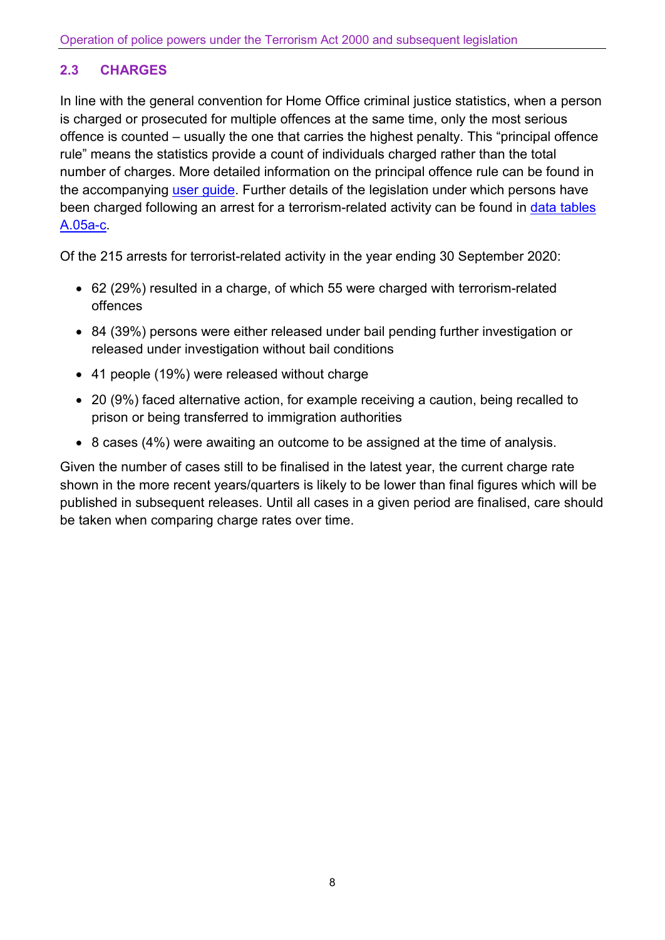## **2.3 CHARGES**

In line with the general convention for Home Office criminal justice statistics, when a person is charged or prosecuted for multiple offences at the same time, only the most serious offence is counted – usually the one that carries the highest penalty. This "principal offence rule" means the statistics provide a count of individuals charged rather than the total number of charges. More detailed information on the principal offence rule can be found in the accompanying [user guide.](https://www.gov.uk/government/publications/user-guide-to-operation-of-police-powers-under-the-terrorism-act-2000-and-subsequent-legislation) Further details of the legislation under which persons have been charged following an arrest for a terrorism-related activity can be found in data tables [A.05a-c.](https://assets.publishing.service.gov.uk/government/uploads/system/uploads/attachment_data/file/941943/operation-police-powers-terrorism-sep2020-annual-tables.xlsx)

Of the 215 arrests for terrorist-related activity in the year ending 30 September 2020:

- 62 (29%) resulted in a charge, of which 55 were charged with terrorism-related offences
- 84 (39%) persons were either released under bail pending further investigation or released under investigation without bail conditions
- 41 people (19%) were released without charge
- 20 (9%) faced alternative action, for example receiving a caution, being recalled to prison or being transferred to immigration authorities
- 8 cases (4%) were awaiting an outcome to be assigned at the time of analysis.

Given the number of cases still to be finalised in the latest year, the current charge rate shown in the more recent years/quarters is likely to be lower than final figures which will be published in subsequent releases. Until all cases in a given period are finalised, care should be taken when comparing charge rates over time.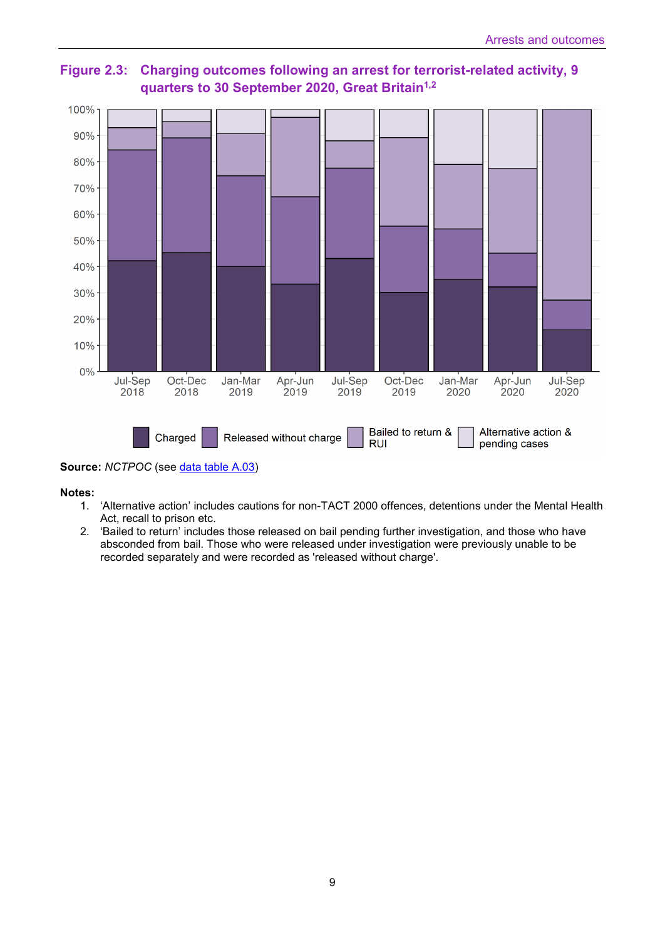

**Figure 2.3: Charging outcomes following an arrest for terrorist-related activity, 9 quarters to 30 September 2020, Great Britain1,2**

**Source:** *NCTPOC* (see *data table A.03*)

**Notes:**

- 1. 'Alternative action' includes cautions for non-TACT 2000 offences, detentions under the Mental Health Act, recall to prison etc.
- 2. 'Bailed to return' includes those released on bail pending further investigation, and those who have absconded from bail. Those who were released under investigation were previously unable to be recorded separately and were recorded as 'released without charge'.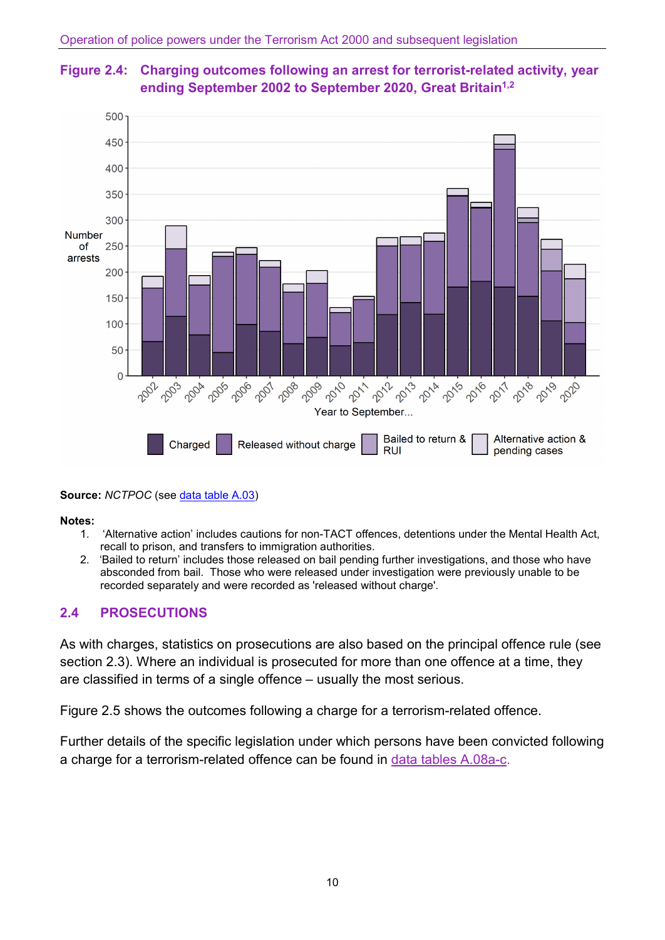



#### **Source:** *NCTPOC* (see [data table A.03\)](https://assets.publishing.service.gov.uk/government/uploads/system/uploads/attachment_data/file/941943/operation-police-powers-terrorism-sep2020-annual-tables.xlsx)

#### **Notes:**

- 1. 'Alternative action' includes cautions for non-TACT offences, detentions under the Mental Health Act, recall to prison, and transfers to immigration authorities.
- 2. 'Bailed to return' includes those released on bail pending further investigations, and those who have absconded from bail. Those who were released under investigation were previously unable to be recorded separately and were recorded as 'released without charge'.

#### **2.4 PROSECUTIONS**

As with charges, statistics on prosecutions are also based on the principal offence rule (see section 2.3). Where an individual is prosecuted for more than one offence at a time, they are classified in terms of a single offence – usually the most serious.

Figure 2.5 shows the outcomes following a charge for a terrorism-related offence.

Further details of the specific legislation under which persons have been convicted following a charge for a terrorism-related offence can be found in [data tables A.08a-c.](https://assets.publishing.service.gov.uk/government/uploads/system/uploads/attachment_data/file/941943/operation-police-powers-terrorism-sep2020-annual-tables.xlsx)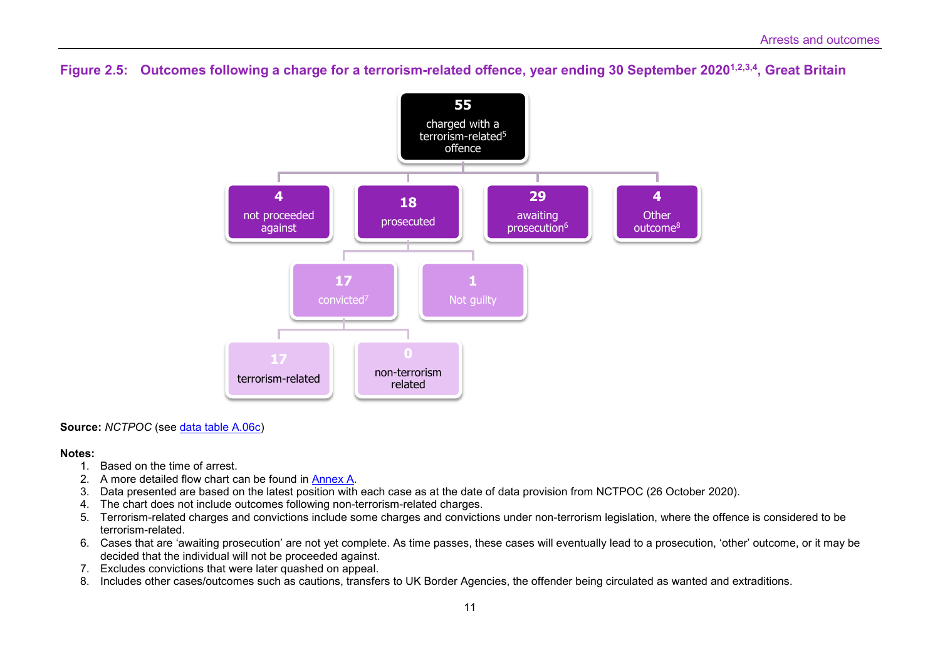#### **Figure 2.5: Outcomes following a charge for a terrorism-related offence, year ending 30 September 20201,2,3,4, Great Britain**



**Source:** *NCTPOC* (see [data table A.06c\)](https://assets.publishing.service.gov.uk/government/uploads/system/uploads/attachment_data/file/941943/operation-police-powers-terrorism-sep2020-annual-tables.xlsx)

#### **Notes:**

- 1. Based on the time of arrest.
- 2. A more detailed flow chart can be found in [Annex A.](https://assets.publishing.service.gov.uk/government/uploads/system/uploads/attachment_data/file/941994/annex-a-flow-chart-sep2020.pdf)
- 3. Data presented are based on the latest position with each case as at the date of data provision from NCTPOC (26 October 2020).
- 4. The chart does not include outcomes following non-terrorism-related charges.
- 5. Terrorism-related charges and convictions include some charges and convictions under non-terrorism legislation, where the offence is considered to be terrorism-related.
- 6. Cases that are 'awaiting prosecution' are not yet complete. As time passes, these cases will eventually lead to a prosecution, 'other' outcome, or it may be decided that the individual will not be proceeded against.
- 7. Excludes convictions that were later quashed on appeal.
- 8. Includes other cases/outcomes such as cautions, transfers to UK Border Agencies, the offender being circulated as wanted and extraditions.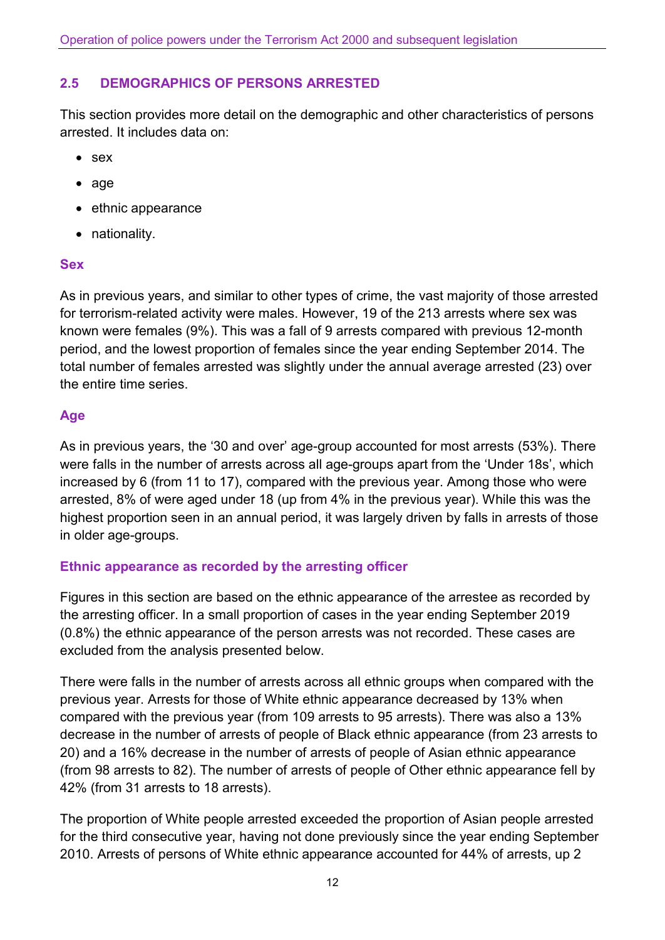## **2.5 DEMOGRAPHICS OF PERSONS ARRESTED**

This section provides more detail on the demographic and other characteristics of persons arrested. It includes data on:

- sex
- age
- ethnic appearance
- nationality.

#### **Sex**

As in previous years, and similar to other types of crime, the vast majority of those arrested for terrorism-related activity were males. However, 19 of the 213 arrests where sex was known were females (9%). This was a fall of 9 arrests compared with previous 12-month period, and the lowest proportion of females since the year ending September 2014. The total number of females arrested was slightly under the annual average arrested (23) over the entire time series.

### **Age**

As in previous years, the '30 and over' age-group accounted for most arrests (53%). There were falls in the number of arrests across all age-groups apart from the 'Under 18s', which increased by 6 (from 11 to 17), compared with the previous year. Among those who were arrested, 8% of were aged under 18 (up from 4% in the previous year). While this was the highest proportion seen in an annual period, it was largely driven by falls in arrests of those in older age-groups.

#### **Ethnic appearance as recorded by the arresting officer**

Figures in this section are based on the ethnic appearance of the arrestee as recorded by the arresting officer. In a small proportion of cases in the year ending September 2019 (0.8%) the ethnic appearance of the person arrests was not recorded. These cases are excluded from the analysis presented below.

There were falls in the number of arrests across all ethnic groups when compared with the previous year. Arrests for those of White ethnic appearance decreased by 13% when compared with the previous year (from 109 arrests to 95 arrests). There was also a 13% decrease in the number of arrests of people of Black ethnic appearance (from 23 arrests to 20) and a 16% decrease in the number of arrests of people of Asian ethnic appearance (from 98 arrests to 82). The number of arrests of people of Other ethnic appearance fell by 42% (from 31 arrests to 18 arrests).

The proportion of White people arrested exceeded the proportion of Asian people arrested for the third consecutive year, having not done previously since the year ending September 2010. Arrests of persons of White ethnic appearance accounted for 44% of arrests, up 2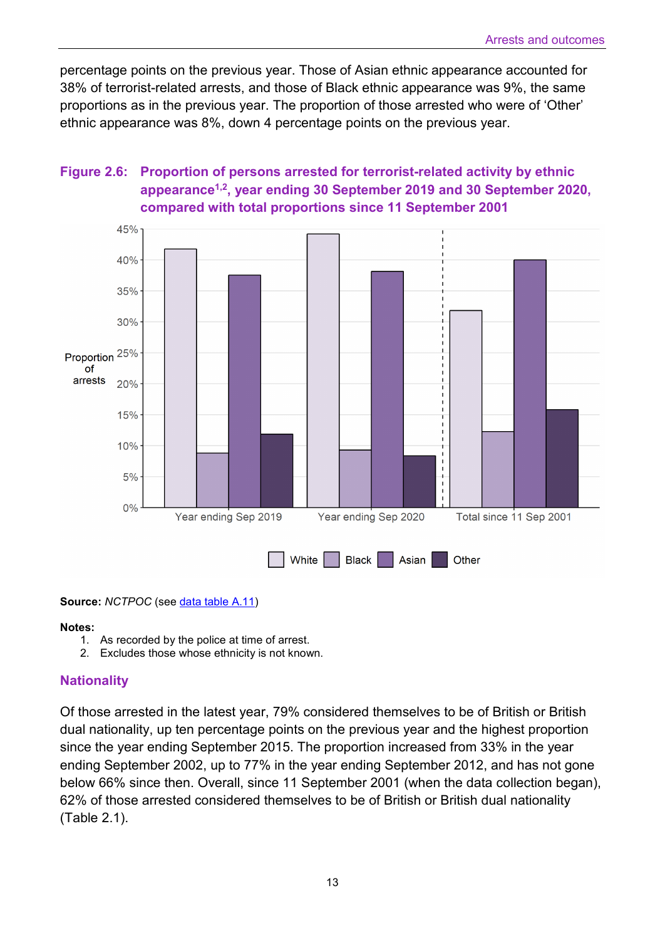percentage points on the previous year. Those of Asian ethnic appearance accounted for 38% of terrorist-related arrests, and those of Black ethnic appearance was 9%, the same proportions as in the previous year. The proportion of those arrested who were of 'Other' ethnic appearance was 8%, down 4 percentage points on the previous year.

## **Figure 2.6: Proportion of persons arrested for terrorist-related activity by ethnic appearance1,2, year ending 30 September 2019 and 30 September 2020, compared with total proportions since 11 September 2001**



**Source:** *NCTPOC* (see [data table A.11\)](https://assets.publishing.service.gov.uk/government/uploads/system/uploads/attachment_data/file/941943/operation-police-powers-terrorism-sep2020-annual-tables.xlsx)

#### **Notes:**

- 1. As recorded by the police at time of arrest.
- 2. Excludes those whose ethnicity is not known.

#### **Nationality**

Of those arrested in the latest year, 79% considered themselves to be of British or British dual nationality, up ten percentage points on the previous year and the highest proportion since the year ending September 2015. The proportion increased from 33% in the year ending September 2002, up to 77% in the year ending September 2012, and has not gone below 66% since then. Overall, since 11 September 2001 (when the data collection began), 62% of those arrested considered themselves to be of British or British dual nationality (Table 2.1).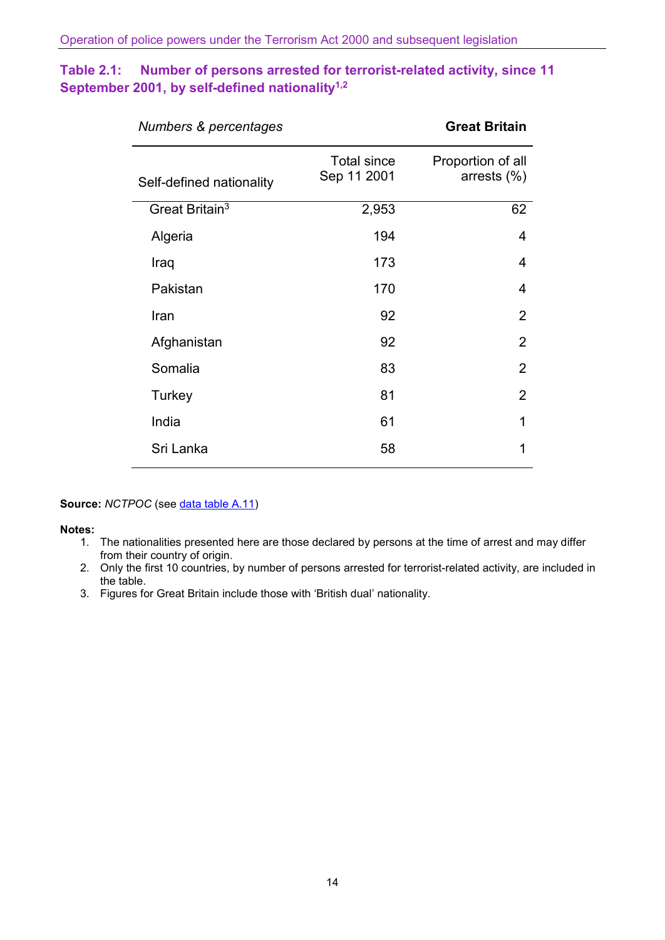## **Table 2.1: Number of persons arrested for terrorist-related activity, since 11 September 2001, by self-defined nationality1,2**

| Numbers & percentages      | <b>Great Britain</b>              |                                     |
|----------------------------|-----------------------------------|-------------------------------------|
| Self-defined nationality   | <b>Total since</b><br>Sep 11 2001 | Proportion of all<br>arrests $(\%)$ |
| Great Britain <sup>3</sup> | 2,953                             | 62                                  |
| Algeria                    | 194                               | 4                                   |
| Iraq                       | 173                               | 4                                   |
| Pakistan                   | 170                               | 4                                   |
| Iran                       | 92                                | $\overline{2}$                      |
| Afghanistan                | 92                                | $\overline{2}$                      |
| Somalia                    | 83                                | $\overline{2}$                      |
| Turkey                     | 81                                | $\overline{2}$                      |
| India                      | 61                                | 1                                   |
| Sri Lanka                  | 58                                | 1                                   |

#### **Source:** *NCTPOC* (see *data table A.11)*

#### **Notes:**

- 1. The nationalities presented here are those declared by persons at the time of arrest and may differ from their country of origin.
- 2. Only the first 10 countries, by number of persons arrested for terrorist-related activity, are included in the table.
- 3. Figures for Great Britain include those with 'British dual' nationality.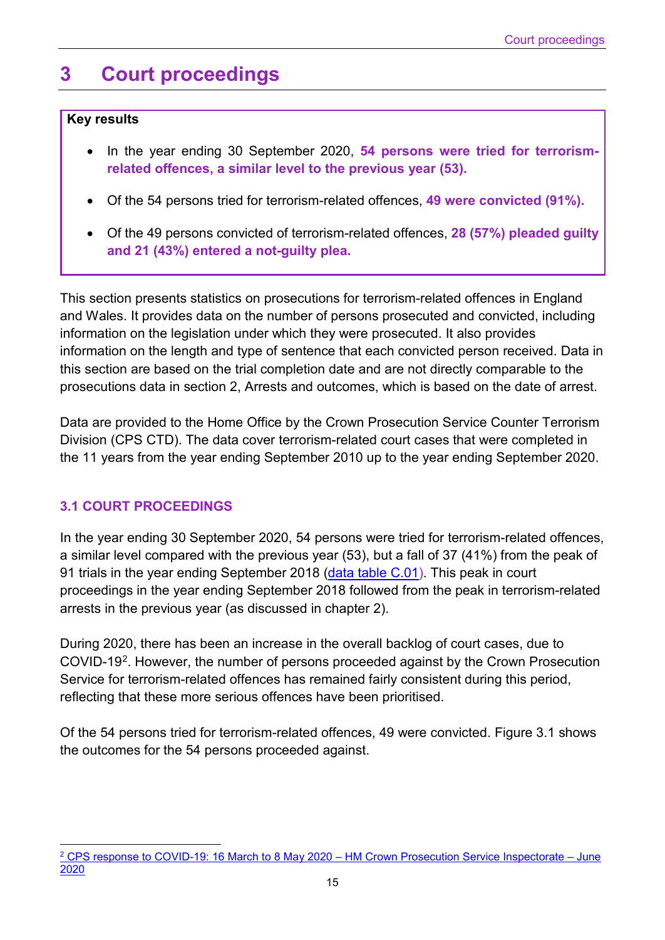## <span id="page-14-0"></span>**3 Court proceedings**

#### **Key results**

- In the year ending 30 September 2020, **54 persons were tried for terrorismrelated offences, a similar level to the previous year (53).**
- Of the 54 persons tried for terrorism-related offences, **49 were convicted (91%).**
- Of the 49 persons convicted of terrorism-related offences, **28 (57%) pleaded guilty and 21 (43%) entered a not-guilty plea.**

This section presents statistics on prosecutions for terrorism-related offences in England and Wales. It provides data on the number of persons prosecuted and convicted, including information on the legislation under which they were prosecuted. It also provides information on the length and type of sentence that each convicted person received. Data in this section are based on the trial completion date and are not directly comparable to the prosecutions data in section 2, Arrests and outcomes, which is based on the date of arrest.

Data are provided to the Home Office by the Crown Prosecution Service Counter Terrorism Division (CPS CTD). The data cover terrorism-related court cases that were completed in the 11 years from the year ending September 2010 up to the year ending September 2020.

## **3.1 COURT PROCEEDINGS**

In the year ending 30 September 2020, 54 persons were tried for terrorism-related offences, a similar level compared with the previous year (53), but a fall of 37 (41%) from the peak of 91 trials in the year ending September 2018 [\(data table C.01\)](https://assets.publishing.service.gov.uk/government/uploads/system/uploads/attachment_data/file/941943/operation-police-powers-terrorism-sep2020-annual-tables.xlsx). This peak in court proceedings in the year ending September 2018 followed from the peak in terrorism-related arrests in the previous year (as discussed in chapter 2).

During 2020, there has been an increase in the overall backlog of court cases, due to COVID-19[2](#page-14-1). However, the number of persons proceeded against by the Crown Prosecution Service for terrorism-related offences has remained fairly consistent during this period, reflecting that these more serious offences have been prioritised.

Of the 54 persons tried for terrorism-related offences, 49 were convicted. Figure 3.1 shows the outcomes for the 54 persons proceeded against.

<span id="page-14-1"></span> $\overline{\phantom{a}}$ <sup>2</sup> [CPS response to COVID-19: 16 March to 8 May 2020 – HM Crown Prosecution Service Inspectorate – June](https://www.justiceinspectorates.gov.uk/hmcpsi/wp-content/uploads/sites/3/2020/06/2020-06-24-COVID-19.pdf)  [2020](https://www.justiceinspectorates.gov.uk/hmcpsi/wp-content/uploads/sites/3/2020/06/2020-06-24-COVID-19.pdf)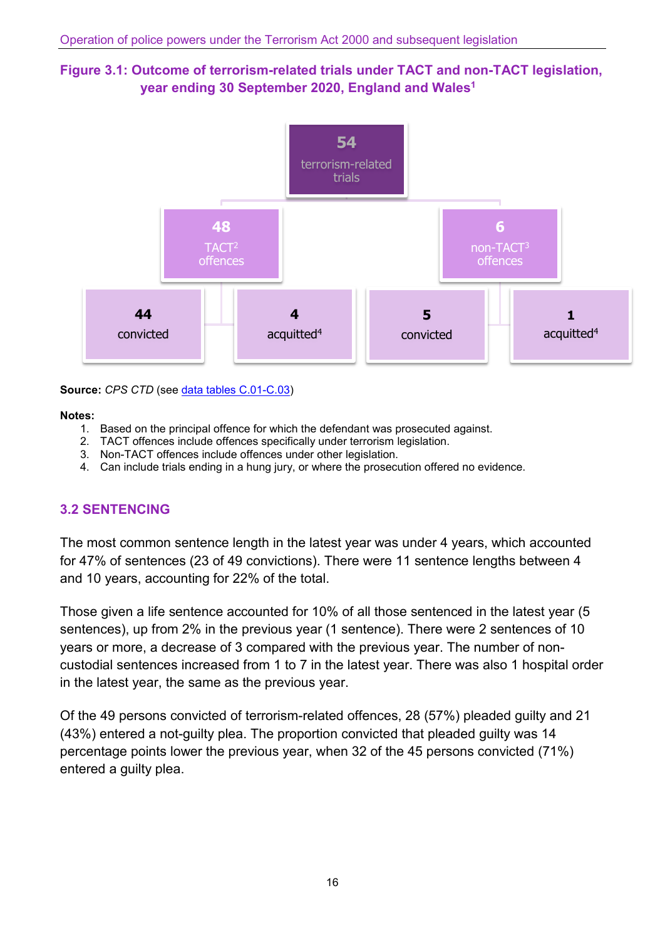### **Figure 3.1: Outcome of terrorism-related trials under TACT and non-TACT legislation, year ending 30 September 2020, England and Wales1**



**Source:** *CPS CTD* (see [data tables C.01-C.03\)](https://assets.publishing.service.gov.uk/government/uploads/system/uploads/attachment_data/file/941943/operation-police-powers-terrorism-sep2020-annual-tables.xlsx)

#### **Notes:**

- 1. Based on the principal offence for which the defendant was prosecuted against.
- 2. TACT offences include offences specifically under terrorism legislation.
- 3. Non-TACT offences include offences under other legislation.
- 4. Can include trials ending in a hung jury, or where the prosecution offered no evidence.

#### **3.2 SENTENCING**

The most common sentence length in the latest year was under 4 years, which accounted for 47% of sentences (23 of 49 convictions). There were 11 sentence lengths between 4 and 10 years, accounting for 22% of the total.

Those given a life sentence accounted for 10% of all those sentenced in the latest year (5 sentences), up from 2% in the previous year (1 sentence). There were 2 sentences of 10 years or more, a decrease of 3 compared with the previous year. The number of noncustodial sentences increased from 1 to 7 in the latest year. There was also 1 hospital order in the latest year, the same as the previous year.

Of the 49 persons convicted of terrorism-related offences, 28 (57%) pleaded guilty and 21 (43%) entered a not-guilty plea. The proportion convicted that pleaded guilty was 14 percentage points lower the previous year, when 32 of the 45 persons convicted (71%) entered a guilty plea.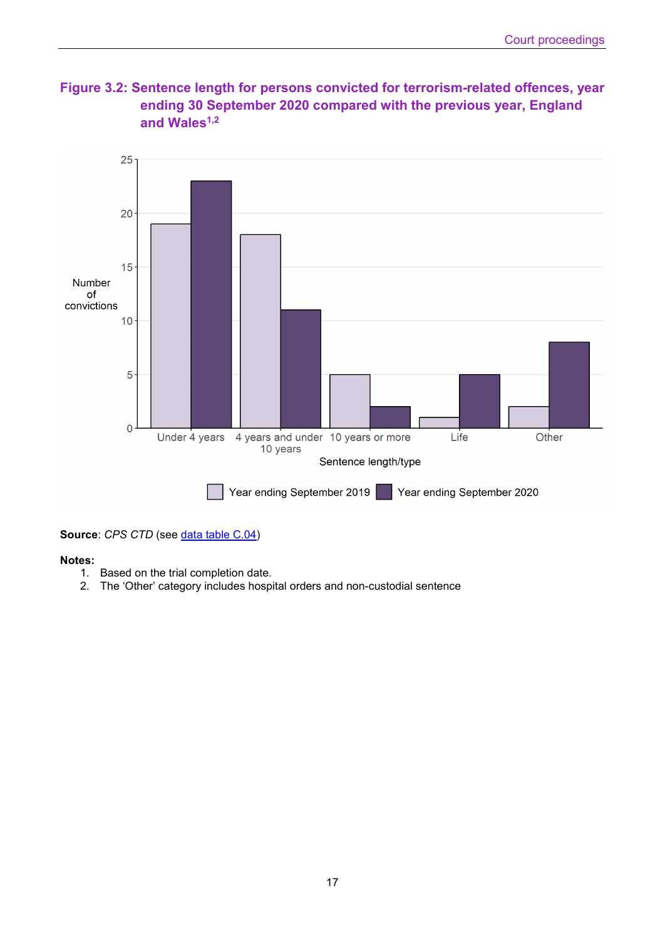



**Source: CPS CTD (see [data table C.04\)](https://assets.publishing.service.gov.uk/government/uploads/system/uploads/attachment_data/file/941943/operation-police-powers-terrorism-sep2020-annual-tables.xlsx)** 

#### **Notes:**

- 1. Based on the trial completion date.
- 2. The 'Other' category includes hospital orders and non-custodial sentence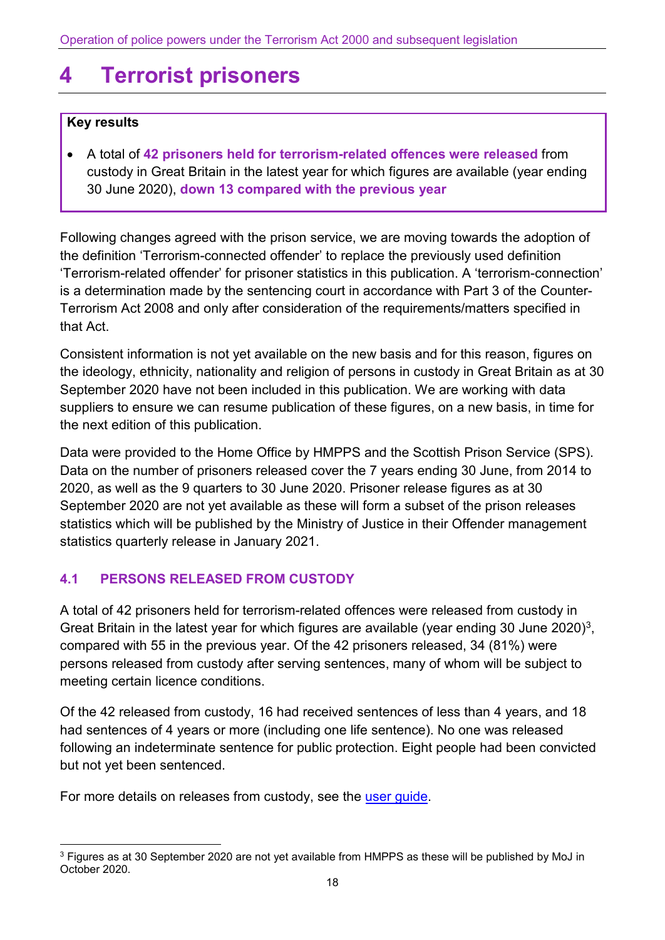# <span id="page-17-0"></span>**4 Terrorist prisoners**

#### **Key results**

• A total of **42 prisoners held for terrorism-related offences were released** from custody in Great Britain in the latest year for which figures are available (year ending 30 June 2020), **down 13 compared with the previous year**

Following changes agreed with the prison service, we are moving towards the adoption of the definition 'Terrorism-connected offender' to replace the previously used definition 'Terrorism-related offender' for prisoner statistics in this publication. A 'terrorism-connection' is a determination made by the sentencing court in accordance with Part 3 of the Counter-Terrorism Act 2008 and only after consideration of the requirements/matters specified in that Act.

Consistent information is not yet available on the new basis and for this reason, figures on the ideology, ethnicity, nationality and religion of persons in custody in Great Britain as at 30 September 2020 have not been included in this publication. We are working with data suppliers to ensure we can resume publication of these figures, on a new basis, in time for the next edition of this publication.

Data were provided to the Home Office by HMPPS and the Scottish Prison Service (SPS). Data on the number of prisoners released cover the 7 years ending 30 June, from 2014 to 2020, as well as the 9 quarters to 30 June 2020. Prisoner release figures as at 30 September 2020 are not yet available as these will form a subset of the prison releases statistics which will be published by the Ministry of Justice in their Offender management statistics quarterly release in January 2021.

## **4.1 PERSONS RELEASED FROM CUSTODY**

A total of 42 prisoners held for terrorism-related offences were released from custody in Great Britain in the latest year for which figures are available (year ending [3](#page-17-1)0 June 2020)<sup>3</sup>, compared with 55 in the previous year. Of the 42 prisoners released, 34 (81%) were persons released from custody after serving sentences, many of whom will be subject to meeting certain licence conditions.

Of the 42 released from custody, 16 had received sentences of less than 4 years, and 18 had sentences of 4 years or more (including one life sentence). No one was released following an indeterminate sentence for public protection. Eight people had been convicted but not yet been sentenced.

For more details on releases from custody, see the [user guide.](https://www.gov.uk/government/publications/user-guide-to-operation-of-police-powers-under-the-terrorism-act-2000-and-subsequent-legislation)

<span id="page-17-1"></span><sup>&</sup>lt;sup>3</sup> Figures as at 30 September 2020 are not yet available from HMPPS as these will be published by MoJ in October 2020.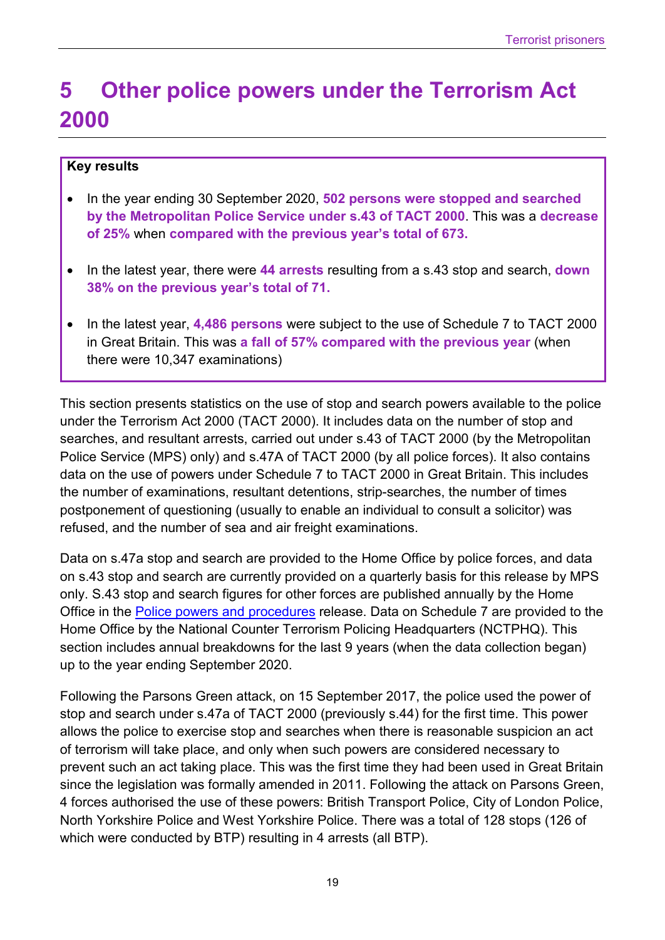## <span id="page-18-0"></span>**5 Other police powers under the Terrorism Act 2000**

#### **Key results**

- In the year ending 30 September 2020, **502 persons were stopped and searched by the Metropolitan Police Service under s.43 of TACT 2000**. This was a **decrease of 25%** when **compared with the previous year's total of 673.**
- In the latest year, there were **44 arrests** resulting from a s.43 stop and search, **down 38% on the previous year's total of 71.**
- In the latest year, **4,486 persons** were subject to the use of Schedule 7 to TACT 2000 in Great Britain. This was **a fall of 57% compared with the previous year** (when there were 10,347 examinations)

This section presents statistics on the use of stop and search powers available to the police under the Terrorism Act 2000 (TACT 2000). It includes data on the number of stop and searches, and resultant arrests, carried out under s.43 of TACT 2000 (by the Metropolitan Police Service (MPS) only) and s.47A of TACT 2000 (by all police forces). It also contains data on the use of powers under Schedule 7 to TACT 2000 in Great Britain. This includes the number of examinations, resultant detentions, strip-searches, the number of times postponement of questioning (usually to enable an individual to consult a solicitor) was refused, and the number of sea and air freight examinations.

Data on s.47a stop and search are provided to the Home Office by police forces, and data on s.43 stop and search are currently provided on a quarterly basis for this release by MPS only. S.43 stop and search figures for other forces are published annually by the Home Office in the **Police powers and procedures** release. Data on Schedule 7 are provided to the Home Office by the National Counter Terrorism Policing Headquarters (NCTPHQ). This section includes annual breakdowns for the last 9 years (when the data collection began) up to the year ending September 2020.

Following the Parsons Green attack, on 15 September 2017, the police used the power of stop and search under s.47a of TACT 2000 (previously s.44) for the first time. This power allows the police to exercise stop and searches when there is reasonable suspicion an act of terrorism will take place, and only when such powers are considered necessary to prevent such an act taking place. This was the first time they had been used in Great Britain since the legislation was formally amended in 2011. Following the attack on Parsons Green, 4 forces authorised the use of these powers: British Transport Police, City of London Police, North Yorkshire Police and West Yorkshire Police. There was a total of 128 stops (126 of which were conducted by BTP) resulting in 4 arrests (all BTP).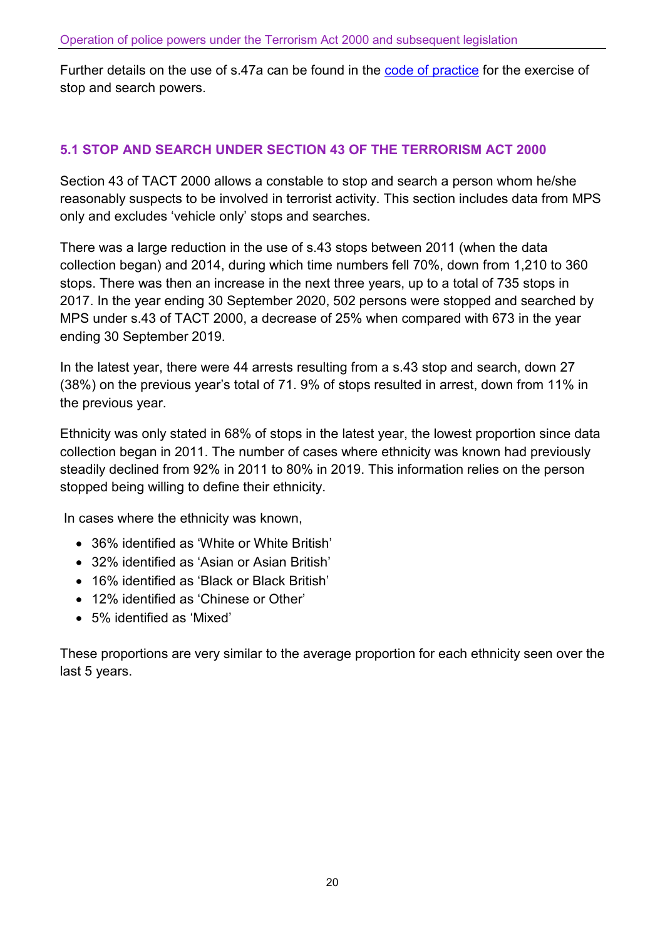Further details on the use of s.47a can be found in the [code of practice](https://www.gov.uk/government/publications/code-of-practice-for-the-exercise-of-stop-and-search-powers) for the exercise of stop and search powers.

## **5.1 STOP AND SEARCH UNDER SECTION 43 OF THE TERRORISM ACT 2000**

Section 43 of TACT 2000 allows a constable to stop and search a person whom he/she reasonably suspects to be involved in terrorist activity. This section includes data from MPS only and excludes 'vehicle only' stops and searches.

There was a large reduction in the use of s.43 stops between 2011 (when the data collection began) and 2014, during which time numbers fell 70%, down from 1,210 to 360 stops. There was then an increase in the next three years, up to a total of 735 stops in 2017. In the year ending 30 September 2020, 502 persons were stopped and searched by MPS under s.43 of TACT 2000, a decrease of 25% when compared with 673 in the year ending 30 September 2019.

In the latest year, there were 44 arrests resulting from a s.43 stop and search, down 27 (38%) on the previous year's total of 71. 9% of stops resulted in arrest, down from 11% in the previous year.

Ethnicity was only stated in 68% of stops in the latest year, the lowest proportion since data collection began in 2011. The number of cases where ethnicity was known had previously steadily declined from 92% in 2011 to 80% in 2019. This information relies on the person stopped being willing to define their ethnicity.

In cases where the ethnicity was known,

- 36% identified as 'White or White British'
- 32% identified as 'Asian or Asian British'
- 16% identified as 'Black or Black British'
- 12% identified as 'Chinese or Other'
- 5% identified as 'Mixed'

These proportions are very similar to the average proportion for each ethnicity seen over the last 5 years.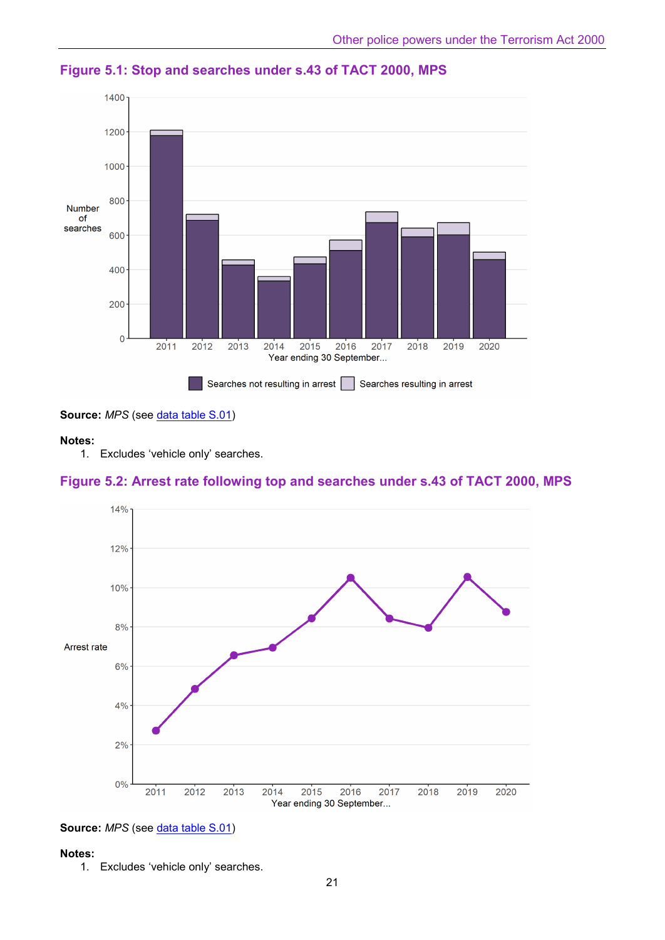

**Figure 5.1: Stop and searches under s.43 of TACT 2000, MPS**

Source: MPS (see [data table S.01\)](https://assets.publishing.service.gov.uk/government/uploads/system/uploads/attachment_data/file/941943/operation-police-powers-terrorism-sep2020-annual-tables.xlsx)

#### **Notes:**

1. Excludes 'vehicle only' searches.

#### **Figure 5.2: Arrest rate following top and searches under s.43 of TACT 2000, MPS**





#### **Notes:**

1. Excludes 'vehicle only' searches.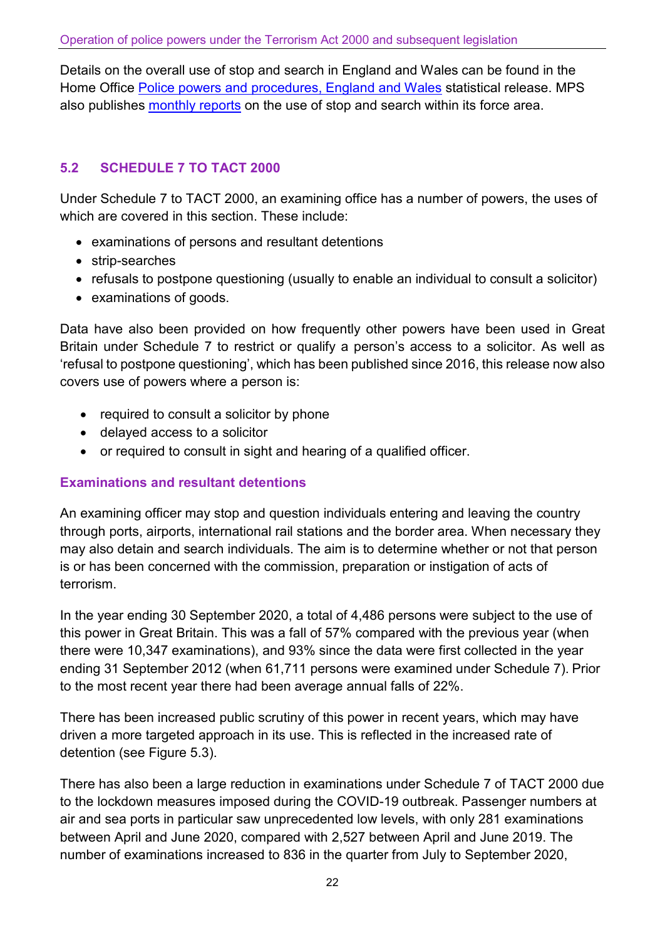Details on the overall use of stop and search in England and Wales can be found in the Home Office [Police powers and procedures, England and Wales](https://www.gov.uk/government/collections/police-powers-and-procedures-england-and-wales) statistical release. MPS also publishes [monthly reports](https://www.met.police.uk/sd/stats-and-data/met/stop-and-search-dashboard/) on the use of stop and search within its force area.

## **5.2 SCHEDULE 7 TO TACT 2000**

Under Schedule 7 to TACT 2000, an examining office has a number of powers, the uses of which are covered in this section. These include:

- examinations of persons and resultant detentions
- strip-searches
- refusals to postpone questioning (usually to enable an individual to consult a solicitor)
- examinations of goods.

Data have also been provided on how frequently other powers have been used in Great Britain under Schedule 7 to restrict or qualify a person's access to a solicitor. As well as 'refusal to postpone questioning', which has been published since 2016, this release now also covers use of powers where a person is:

- required to consult a solicitor by phone
- delayed access to a solicitor
- or required to consult in sight and hearing of a qualified officer.

#### **Examinations and resultant detentions**

An examining officer may stop and question individuals entering and leaving the country through ports, airports, international rail stations and the border area. When necessary they may also detain and search individuals. The aim is to determine whether or not that person is or has been concerned with the commission, preparation or instigation of acts of terrorism.

In the year ending 30 September 2020, a total of 4,486 persons were subject to the use of this power in Great Britain. This was a fall of 57% compared with the previous year (when there were 10,347 examinations), and 93% since the data were first collected in the year ending 31 September 2012 (when 61,711 persons were examined under Schedule 7). Prior to the most recent year there had been average annual falls of 22%.

There has been increased public scrutiny of this power in recent years, which may have driven a more targeted approach in its use. This is reflected in the increased rate of detention (see Figure 5.3).

There has also been a large reduction in examinations under Schedule 7 of TACT 2000 due to the lockdown measures imposed during the COVID-19 outbreak. Passenger numbers at air and sea ports in particular saw unprecedented low levels, with only 281 examinations between April and June 2020, compared with 2,527 between April and June 2019. The number of examinations increased to 836 in the quarter from July to September 2020,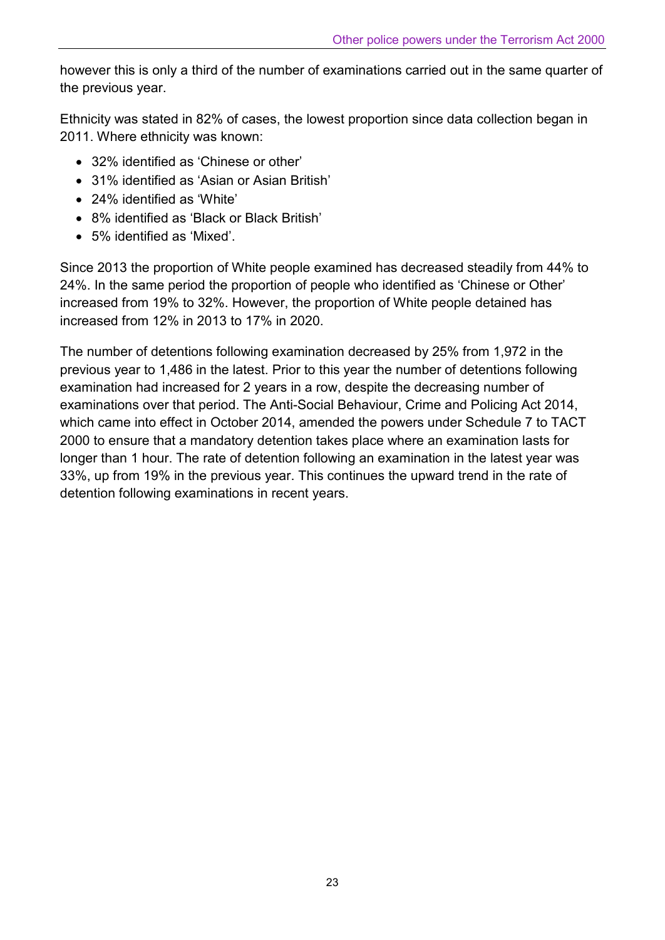however this is only a third of the number of examinations carried out in the same quarter of the previous year.

Ethnicity was stated in 82% of cases, the lowest proportion since data collection began in 2011. Where ethnicity was known:

- 32% identified as 'Chinese or other'
- 31% identified as 'Asian or Asian British'
- 24% identified as 'White'
- 8% identified as 'Black or Black British'
- 5% identified as 'Mixed'.

Since 2013 the proportion of White people examined has decreased steadily from 44% to 24%. In the same period the proportion of people who identified as 'Chinese or Other' increased from 19% to 32%. However, the proportion of White people detained has increased from 12% in 2013 to 17% in 2020.

The number of detentions following examination decreased by 25% from 1,972 in the previous year to 1,486 in the latest. Prior to this year the number of detentions following examination had increased for 2 years in a row, despite the decreasing number of examinations over that period. The Anti-Social Behaviour, Crime and Policing Act 2014, which came into effect in October 2014, amended the powers under Schedule 7 to TACT 2000 to ensure that a mandatory detention takes place where an examination lasts for longer than 1 hour. The rate of detention following an examination in the latest year was 33%, up from 19% in the previous year. This continues the upward trend in the rate of detention following examinations in recent years.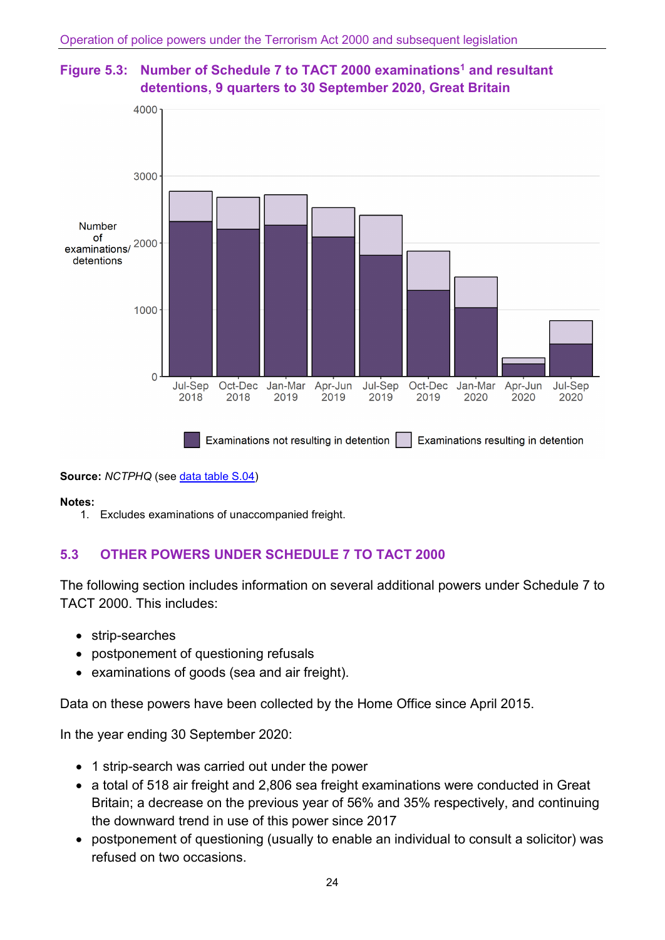



**Source:** *NCTPHQ* (see [data table S.04\)](https://assets.publishing.service.gov.uk/government/uploads/system/uploads/attachment_data/file/941943/operation-police-powers-terrorism-sep2020-annual-tables.xlsx)

#### **Notes:**

1. Excludes examinations of unaccompanied freight.

## **5.3 OTHER POWERS UNDER SCHEDULE 7 TO TACT 2000**

The following section includes information on several additional powers under Schedule 7 to TACT 2000. This includes:

- strip-searches
- postponement of questioning refusals
- examinations of goods (sea and air freight).

Data on these powers have been collected by the Home Office since April 2015.

In the year ending 30 September 2020:

- 1 strip-search was carried out under the power
- a total of 518 air freight and 2,806 sea freight examinations were conducted in Great Britain; a decrease on the previous year of 56% and 35% respectively, and continuing the downward trend in use of this power since 2017
- postponement of questioning (usually to enable an individual to consult a solicitor) was refused on two occasions.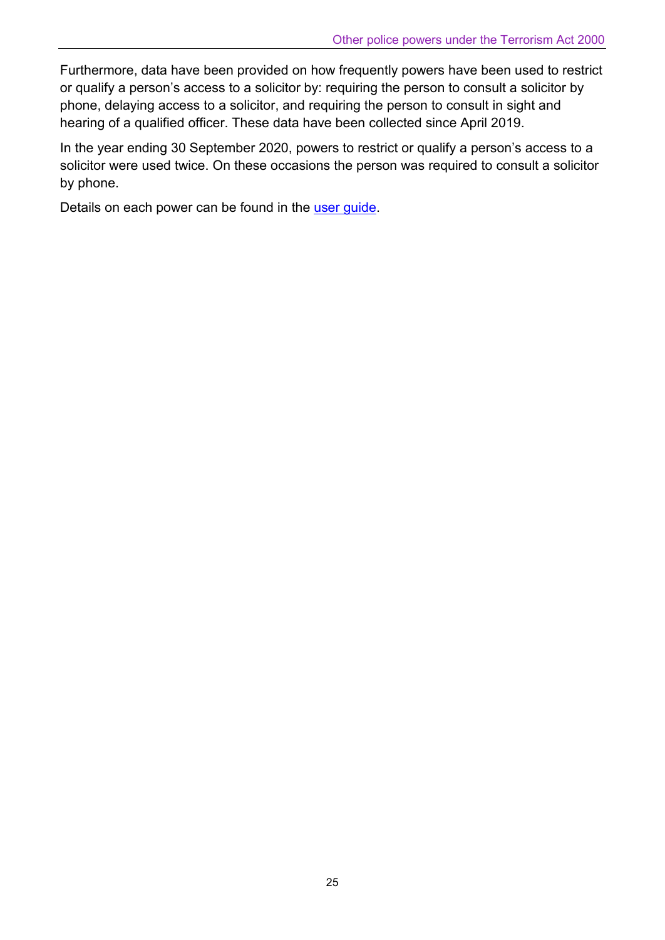Furthermore, data have been provided on how frequently powers have been used to restrict or qualify a person's access to a solicitor by: requiring the person to consult a solicitor by phone, delaying access to a solicitor, and requiring the person to consult in sight and hearing of a qualified officer. These data have been collected since April 2019.

In the year ending 30 September 2020, powers to restrict or qualify a person's access to a solicitor were used twice. On these occasions the person was required to consult a solicitor by phone.

Details on each power can be found in the [user guide.](https://www.gov.uk/government/publications/user-guide-to-operation-of-police-powers-under-the-terrorism-act-2000-and-subsequent-legislation)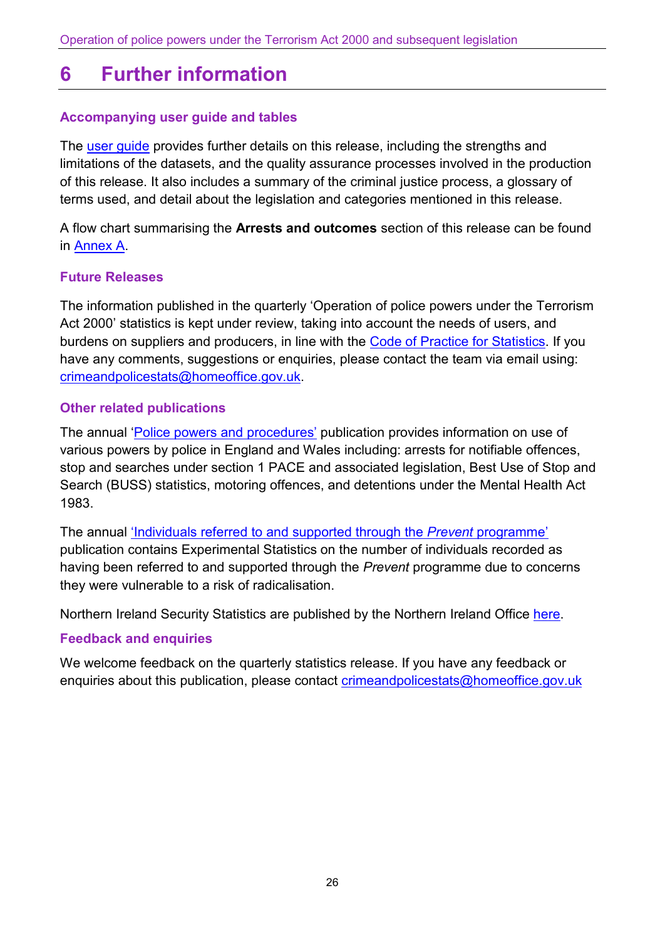## <span id="page-25-0"></span>**6 Further information**

### **Accompanying user guide and tables**

The [user guide](https://www.gov.uk/government/publications/user-guide-to-operation-of-police-powers-under-the-terrorism-act-2000-and-subsequent-legislation) provides further details on this release, including the strengths and limitations of the datasets, and the quality assurance processes involved in the production of this release. It also includes a summary of the criminal justice process, a glossary of terms used, and detail about the legislation and categories mentioned in this release.

A flow chart summarising the **Arrests and outcomes** section of this release can be found in [Annex A.](https://assets.publishing.service.gov.uk/government/uploads/system/uploads/attachment_data/file/941994/annex-a-flow-chart-sep2020.pdf)

#### **Future Releases**

The information published in the quarterly 'Operation of police powers under the Terrorism Act 2000' statistics is kept under review, taking into account the needs of users, and burdens on suppliers and producers, in line with the [Code of Practice for Statistics.](https://code.statisticsauthority.gov.uk/) If you have any comments, suggestions or enquiries, please contact the team via email using: [crimeandpolicestats@homeoffice.gov.uk.](mailto:crimeandpolicestats@homeoffice.gov.uk)

#### **Other related publications**

The annual ['Police powers and procedures'](https://www.gov.uk/government/collections/police-powers-and-procedures-england-and-wales) publication provides information on use of various powers by police in England and Wales including: arrests for notifiable offences, stop and searches under section 1 PACE and associated legislation, Best Use of Stop and Search (BUSS) statistics, motoring offences, and detentions under the Mental Health Act 1983.

The annual ['Individuals referred to and supported through the](https://www.gov.uk/government/collections/individuals-referred-to-and-supported-through-the-prevent-programme-statistics) *Prevent* programme' publication contains Experimental Statistics on the number of individuals recorded as having been referred to and supported through the *Prevent* programme due to concerns they were vulnerable to a risk of radicalisation.

Northern Ireland Security Statistics are published by the Northern Ireland Office [here.](https://www.gov.uk/government/statistics/northern-ireland-terrorism-legislation-annual-statistics-201718--2)

#### **Feedback and enquiries**

We welcome feedback on the quarterly statistics release. If you have any feedback or enquiries about this publication, please contact [crimeandpolicestats@homeoffice.gov.uk](mailto:crimeandpolicestats@homeoffice.gov.uk)